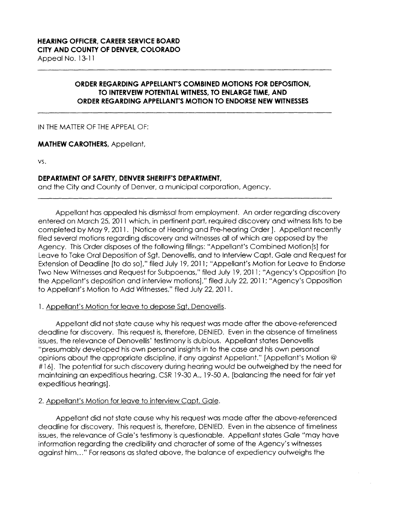# **ORDER REGARDING APPELLANT'S COMBINED MOTIONS FOR DEPOSITION. TO INTERVEIW POTENTIAL WITNESS, TO ENLARGE TIME, AND ORDER REGARDING APPELLANT'S MOTION TO ENDORSE NEW WITNESSES**

## IN THE MATTER OF THE APPEAL OF:

## **MATHEW CAROTHERS,** Appellant,

**VS.** 

## **DEPARTMENT OF SAFETY, DENVER SHERIFF'S DEPARTMENT,**

and the City and County of Denver, a municipal corporation, Agency.

Appellant has appealed his dismissal from employment. An order regarding discovery entered on March 25, 2011 which, in pertinent part, required discovery and witness lists to be completed by May 9, 2011. [Notice of Hearing and Pre-hearing Order]. Appellant recently filed several motions regarding discovery and witnesses all of which are opposed by the Agency. This Order disposes of the following filings: "Appellant's Combined Motion[s] for Leave to Take Oral Deposition of Sgt. Denovellis, and to Interview Capt. Gale and Request for Extension of Deadline [to do so]," filed July 19, 2011; "Appellant's Motion for Leave to Endorse Two New Witnesses and Request for Subpoenas," filed July 19, 2011; "Agency's Opposition [to the Appellant's deposition and interview motions]," filed July 22, 2011; "Agency's Opposition to Appellant's Motion to Add Witnesses," filed July 22, 2011.

#### 1. Appellant's Motion for leave to depose Sgt. Denovellis.

Appellant did not state cause why his request was made after the above-referenced deadline for discovery. This request is, therefore, DENIED. Even in the absence of timeliness issues, the relevance of Denovellis' testimony is dubious. Appellant states Denovellis "presumably developed his own personal insights in to the case and his own personal opinions about the appropriate discipline, if any against Appellant." [Appellant's Motion@ # 16]. The potential for such discovery during hearing would be outweighed by the need for maintaining an expeditious hearing. CSR 19-30 **A.,** 19-50 A. [balancing the need for fair yet expeditious hearings].

# 2. Appellant's Motion for leave to interview Capt. Gale.

Appellant did not state cause why his request was made after the above-referenced deadline for discovery. This request is, therefore, DENIED. Even in the absence of timeliness issues, the relevance of Gale's testimony is questionable. Appellant states Gale "may have information regarding the credibility and character of some of the Agency's witnesses against him ... " Forreasons as stated above, the balance of expediency outweighs the